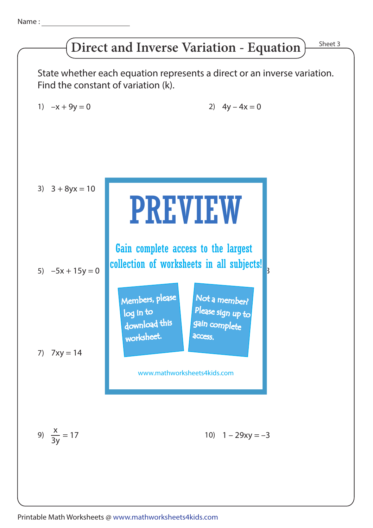